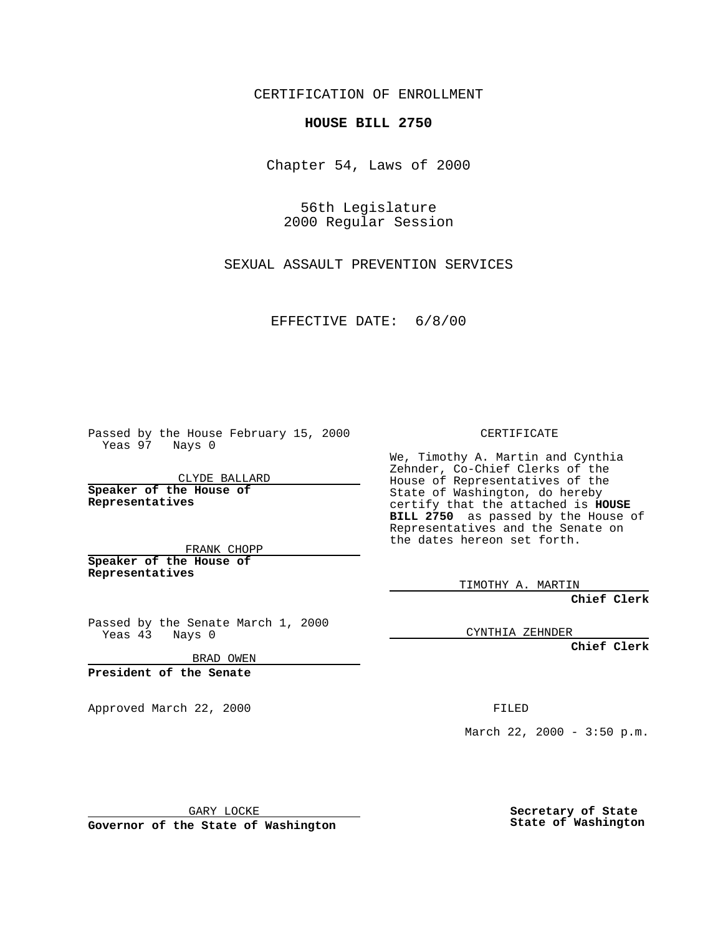CERTIFICATION OF ENROLLMENT

## **HOUSE BILL 2750**

Chapter 54, Laws of 2000

56th Legislature 2000 Regular Session

SEXUAL ASSAULT PREVENTION SERVICES

EFFECTIVE DATE: 6/8/00

Passed by the House February 15, 2000 Yeas 97 Nays 0

CLYDE BALLARD **Speaker of the House of Representatives**

FRANK CHOPP **Speaker of the House of**

**Representatives**

Passed by the Senate March 1, 2000 Yeas 43 Nays 0

BRAD OWEN

**President of the Senate**

Approved March 22, 2000 FILED

CERTIFICATE

We, Timothy A. Martin and Cynthia Zehnder, Co-Chief Clerks of the House of Representatives of the State of Washington, do hereby certify that the attached is **HOUSE BILL 2750** as passed by the House of Representatives and the Senate on the dates hereon set forth.

TIMOTHY A. MARTIN

**Chief Clerk**

CYNTHIA ZEHNDER

**Chief Clerk**

March 22, 2000 -  $3:50$  p.m.

GARY LOCKE

**Governor of the State of Washington**

**Secretary of State State of Washington**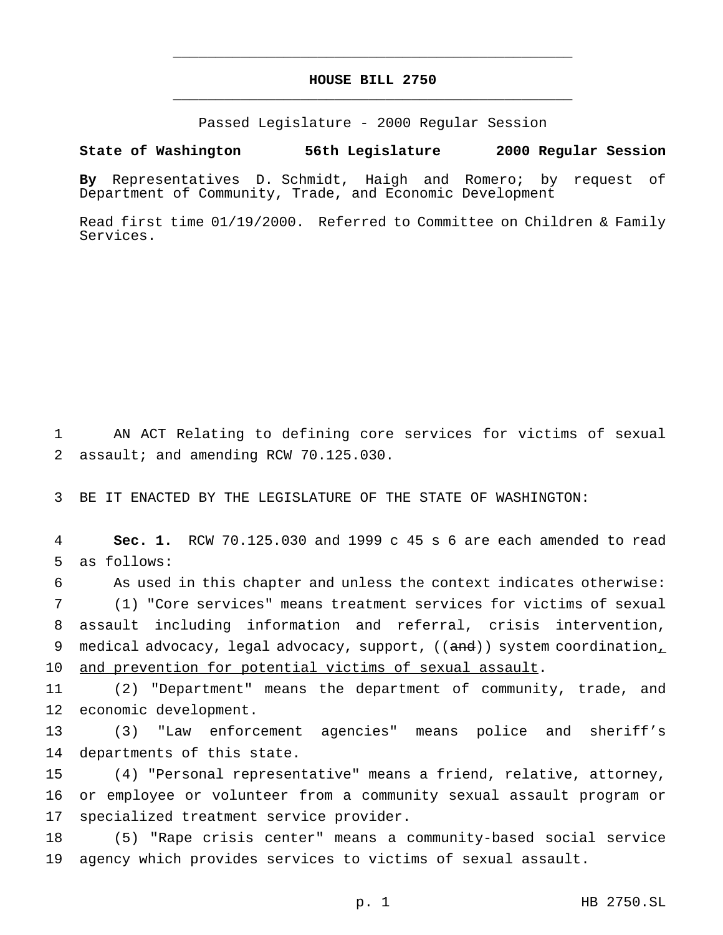## **HOUSE BILL 2750** \_\_\_\_\_\_\_\_\_\_\_\_\_\_\_\_\_\_\_\_\_\_\_\_\_\_\_\_\_\_\_\_\_\_\_\_\_\_\_\_\_\_\_\_\_\_\_

\_\_\_\_\_\_\_\_\_\_\_\_\_\_\_\_\_\_\_\_\_\_\_\_\_\_\_\_\_\_\_\_\_\_\_\_\_\_\_\_\_\_\_\_\_\_\_

Passed Legislature - 2000 Regular Session

## **State of Washington 56th Legislature 2000 Regular Session**

**By** Representatives D. Schmidt, Haigh and Romero; by request of Department of Community, Trade, and Economic Development

Read first time 01/19/2000. Referred to Committee on Children & Family Services.

1 AN ACT Relating to defining core services for victims of sexual 2 assault; and amending RCW 70.125.030.

3 BE IT ENACTED BY THE LEGISLATURE OF THE STATE OF WASHINGTON:

4 **Sec. 1.** RCW 70.125.030 and 1999 c 45 s 6 are each amended to read 5 as follows:

6 As used in this chapter and unless the context indicates otherwise: 7 (1) "Core services" means treatment services for victims of sexual 8 assault including information and referral, crisis intervention, 9 medical advocacy, legal advocacy, support,  $((and))$  system coordination, 10 and prevention for potential victims of sexual assault.

11 (2) "Department" means the department of community, trade, and 12 economic development.

13 (3) "Law enforcement agencies" means police and sheriff's 14 departments of this state.

15 (4) "Personal representative" means a friend, relative, attorney, 16 or employee or volunteer from a community sexual assault program or 17 specialized treatment service provider.

18 (5) "Rape crisis center" means a community-based social service 19 agency which provides services to victims of sexual assault.